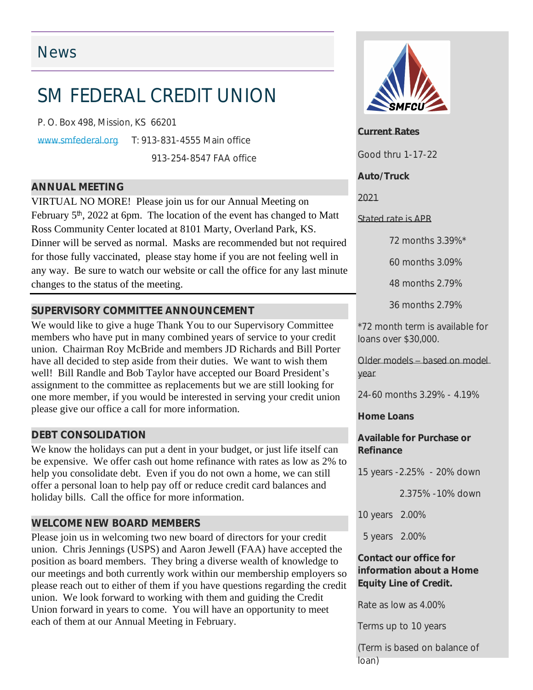## News

# SM FEDERAL CREDIT UNION

P. O. Box 498, Mission, KS 66201

[www.smfederal.org](http://www.smfederal.org) T: 913-831-4555 Main office 913-254-8547 FAA office

*ANNUAL MEETING*

VIRTUAL NO MORE! Please join us for our Annual Meeting on February 5<sup>th</sup>, 2022 at 6pm. The location of the event has changed to Matt Ross Community Center located at 8101 Marty, Overland Park, KS. Dinner will be served as normal. Masks are recommended but not required for those fully vaccinated, please stay home if you are not feeling well in any way. Be sure to watch our website or call the office for any last minute changes to the status of the meeting.

### *SUPERVISORY COMMITTEE ANNOUNCEMENT*

We would like to give a huge Thank You to our Supervisory Committee members who have put in many combined years of service to your credit union. Chairman Roy McBride and members JD Richards and Bill Porter have all decided to step aside from their duties. We want to wish them well! Bill Randle and Bob Taylor have accepted our Board President's assignment to the committee as replacements but we are still looking for one more member, if you would be interested in serving your credit union please give our office a call for more information.

#### *DEBT CONSOLIDATION*

We know the holidays can put a dent in your budget, or just life itself can be expensive. We offer cash out home refinance with rates as low as 2% to help you consolidate debt. Even if you do not own a home, we can still offer a personal loan to help pay off or reduce credit card balances and holiday bills. Call the office for more information.

#### *WELCOME NEW BOARD MEMBERS*

Please join us in welcoming two new board of directors for your credit union. Chris Jennings (USPS) and Aaron Jewell (FAA) have accepted the position as board members. They bring a diverse wealth of knowledge to our meetings and both currently work within our membership employers so please reach out to either of them if you have questions regarding the credit union. We look forward to working with them and guiding the Credit Union forward in years to come. You will have an opportunity to meet each of them at our Annual Meeting in February.



**Current Rates**

Good thru 1-17-22

#### **Auto/Truck**

*2021*

#### *Stated rate is APR*

72 months 3.39%\*

60 months 3.09%

48 months 2.79%

36 months 2.79%

\*72 month term is available for loans over \$30,000.

*Older models – based on model year*

24-60 months 3.29% - 4.19%

**Home Loans**

**Available for Purchase or Refinance**

15 years -2.25% - 20% down

2.375% -10% down

10 years 2.00%

5 years 2.00%

#### **Contact our office for information about a Home Equity Line of Credit.**

Rate as low as 4.00%

Terms up to 10 years

(Term is based on balance of loan)